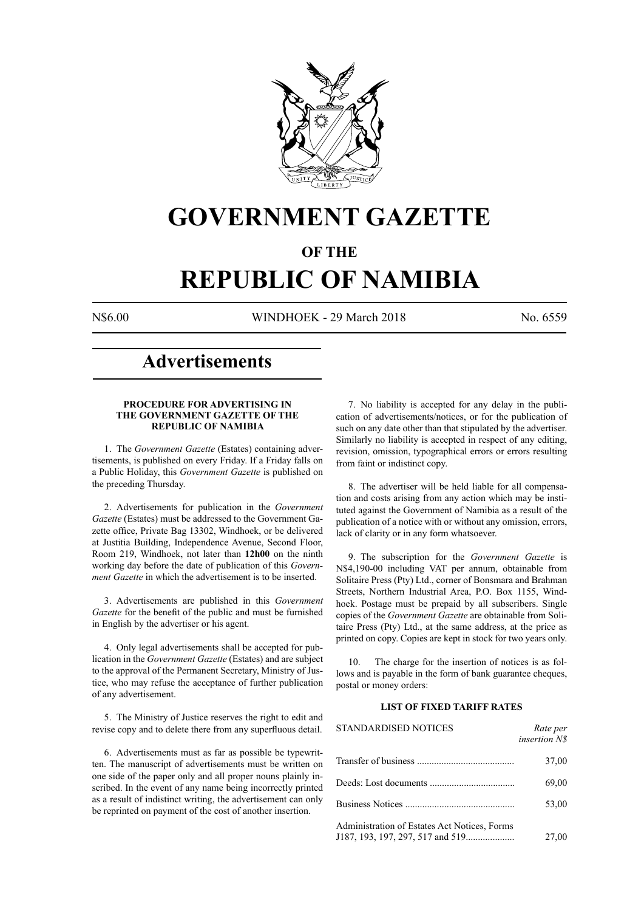

# **GOVERNMENT GAZETTE**

## **OF THE**

# **REPUBLIC OF NAMIBIA**

N\$6.00 WINDHOEK - 29 March 2018 No. 6559

## **Advertisements**

#### **PROCEDURE FOR ADVERTISING IN THE GOVERNMENT GAZETTE OF THE REPUBLIC OF NAMIBIA**

1. The *Government Gazette* (Estates) containing advertisements, is published on every Friday. If a Friday falls on a Public Holiday, this *Government Gazette* is published on the preceding Thursday.

2. Advertisements for publication in the *Government Gazette* (Estates) must be addressed to the Government Gazette office, Private Bag 13302, Windhoek, or be delivered at Justitia Building, Independence Avenue, Second Floor, Room 219, Windhoek, not later than **12h00** on the ninth working day before the date of publication of this *Government Gazette* in which the advertisement is to be inserted.

3. Advertisements are published in this *Government Gazette* for the benefit of the public and must be furnished in English by the advertiser or his agent.

4. Only legal advertisements shall be accepted for publication in the *Government Gazette* (Estates) and are subject to the approval of the Permanent Secretary, Ministry of Justice, who may refuse the acceptance of further publication of any advertisement.

5. The Ministry of Justice reserves the right to edit and revise copy and to delete there from any superfluous detail.

6. Advertisements must as far as possible be typewritten. The manuscript of advertisements must be written on one side of the paper only and all proper nouns plainly inscribed. In the event of any name being incorrectly printed as a result of indistinct writing, the advertisement can only be reprinted on payment of the cost of another insertion.

7. No liability is accepted for any delay in the publication of advertisements/notices, or for the publication of such on any date other than that stipulated by the advertiser. Similarly no liability is accepted in respect of any editing, revision, omission, typographical errors or errors resulting from faint or indistinct copy.

8. The advertiser will be held liable for all compensation and costs arising from any action which may be instituted against the Government of Namibia as a result of the publication of a notice with or without any omission, errors, lack of clarity or in any form whatsoever.

9. The subscription for the *Government Gazette* is N\$4,190-00 including VAT per annum, obtainable from Solitaire Press (Pty) Ltd., corner of Bonsmara and Brahman Streets, Northern Industrial Area, P.O. Box 1155, Windhoek. Postage must be prepaid by all subscribers. Single copies of the *Government Gazette* are obtainable from Solitaire Press (Pty) Ltd., at the same address, at the price as printed on copy. Copies are kept in stock for two years only.

10. The charge for the insertion of notices is as follows and is payable in the form of bank guarantee cheques, postal or money orders:

#### **LIST OF FIXED TARIFF RATES**

| <b>STANDARDISED NOTICES</b>                  | Rate per<br>insertion N\$ |
|----------------------------------------------|---------------------------|
|                                              | 37,00                     |
|                                              | 69,00                     |
|                                              | 53,00                     |
| Administration of Estates Act Notices, Forms | 27,00                     |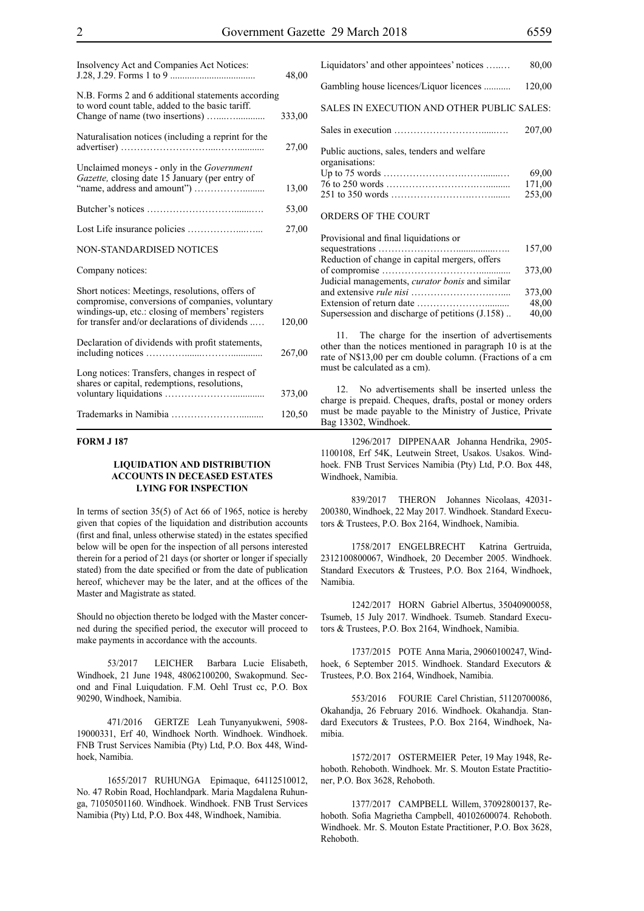| Insolvency Act and Companies Act Notices:                                                                                                                                                               | 48,00  |
|---------------------------------------------------------------------------------------------------------------------------------------------------------------------------------------------------------|--------|
| N.B. Forms 2 and 6 additional statements according<br>to word count table, added to the basic tariff.                                                                                                   | 333,00 |
| Naturalisation notices (including a reprint for the                                                                                                                                                     | 27,00  |
| Unclaimed moneys - only in the Government<br>Gazette, closing date 15 January (per entry of                                                                                                             | 13,00  |
|                                                                                                                                                                                                         | 53,00  |
|                                                                                                                                                                                                         | 27,00  |
| <b>NON-STANDARDISED NOTICES</b>                                                                                                                                                                         |        |
| Company notices:                                                                                                                                                                                        |        |
| Short notices: Meetings, resolutions, offers of<br>compromise, conversions of companies, voluntary<br>windings-up, etc.: closing of members' registers<br>for transfer and/or declarations of dividends | 120,00 |
| Declaration of dividends with profit statements,                                                                                                                                                        | 267,00 |
| Long notices: Transfers, changes in respect of<br>shares or capital, redemptions, resolutions,                                                                                                          | 373,00 |
|                                                                                                                                                                                                         | 120,50 |

#### **FORM J 187**

#### **LIQUIDATION AND DISTRIBUTION ACCOUNTS IN DECEASED ESTATES LYING FOR INSPECTION**

In terms of section 35(5) of Act 66 of 1965, notice is hereby given that copies of the liquidation and distribution accounts (first and final, unless otherwise stated) in the estates specified below will be open for the inspection of all persons interested therein for a period of 21 days (or shorter or longer if specially stated) from the date specified or from the date of publication hereof, whichever may be the later, and at the offices of the Master and Magistrate as stated.

Should no objection thereto be lodged with the Master concerned during the specified period, the executor will proceed to make payments in accordance with the accounts.

53/2017 LEICHER Barbara Lucie Elisabeth, Windhoek, 21 June 1948, 48062100200, Swakopmund. Second and Final Luiqudation. F.M. Oehl Trust cc, P.O. Box 90290, Windhoek, Namibia.

471/2016 GERTZE Leah Tunyanyukweni, 5908- 19000331, Erf 40, Windhoek North. Windhoek. Windhoek. FNB Trust Services Namibia (Pty) Ltd, P.O. Box 448, Windhoek, Namibia.

1655/2017 RUHUNGA Epimaque, 64112510012, No. 47 Robin Road, Hochlandpark. Maria Magdalena Ruhunga, 71050501160. Windhoek. Windhoek. FNB Trust Services Namibia (Pty) Ltd, P.O. Box 448, Windhoek, Namibia.

Liquidators' and other appointees' notices …..… 80,00 Gambling house licences/Liquor licences ........... 120,00 SALES IN EXECUTION AND OTHER PUBLIC SALES: Sales in execution ………………………......…. 207,00 Public auctions, sales, tenders and welfare organisations: Up to 75 words …………………….…….......… 69,00 76 to 250 words ……………………….….......... 171,00 251 to 350 words …………………….……........ 253,00 ORDERS OF THE COURT

#### Provisional and final liquidations or sequestrations ……………………................….. 157,00 Reduction of change in capital mergers, offers of compromise …………………………............. 373,00 Judicial managements, *curator bonis* and similar and extensive *rule nisi* …………………….….... 373,00 Extension of return date ………………….......... 48,00 Supersession and discharge of petitions  $(J.158)$ .

11. The charge for the insertion of advertisements other than the notices mentioned in paragraph 10 is at the rate of N\$13,00 per cm double column. (Fractions of a cm must be calculated as a cm).

12. No advertisements shall be inserted unless the charge is prepaid. Cheques, drafts, postal or money orders must be made payable to the Ministry of Justice, Private Bag 13302, Windhoek.

1296/2017 DIPPENAAR Johanna Hendrika, 2905- 1100108, Erf 54K, Leutwein Street, Usakos. Usakos. Windhoek. FNB Trust Services Namibia (Pty) Ltd, P.O. Box 448, Windhoek, Namibia.

839/2017 THERON Johannes Nicolaas, 42031- 200380, Windhoek, 22 May 2017. Windhoek. Standard Executors & Trustees, P.O. Box 2164, Windhoek, Namibia.

1758/2017 ENGELBRECHT Katrina Gertruida, 2312100800067, Windhoek, 20 December 2005. Windhoek. Standard Executors & Trustees, P.O. Box 2164, Windhoek, Namibia.

1242/2017 HORN Gabriel Albertus, 35040900058, Tsumeb, 15 July 2017. Windhoek. Tsumeb. Standard Executors & Trustees, P.O. Box 2164, Windhoek, Namibia.

1737/2015 POTE Anna Maria, 29060100247, Windhoek, 6 September 2015. Windhoek. Standard Executors & Trustees, P.O. Box 2164, Windhoek, Namibia.

553/2016 FOURIE Carel Christian, 51120700086, Okahandja, 26 February 2016. Windhoek. Okahandja. Standard Executors & Trustees, P.O. Box 2164, Windhoek, Namibia.

1572/2017 OSTERMEIER Peter, 19 May 1948, Rehoboth. Rehoboth. Windhoek. Mr. S. Mouton Estate Practitioner, P.O. Box 3628, Rehoboth.

1377/2017 CAMPBELL Willem, 37092800137, Rehoboth. Sofia Magrietha Campbell, 40102600074. Rehoboth. Windhoek. Mr. S. Mouton Estate Practitioner, P.O. Box 3628, Rehoboth.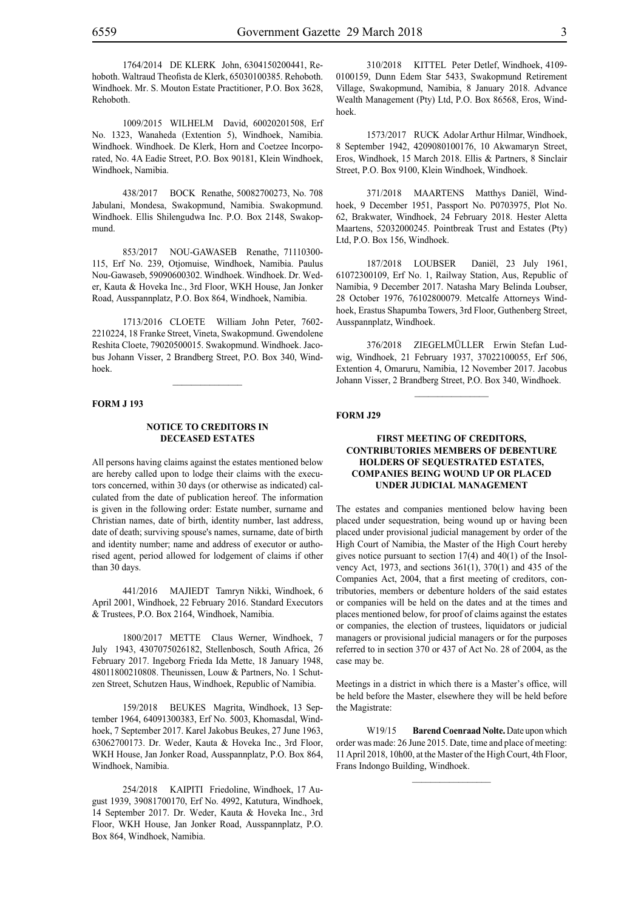1764/2014 DE KLERK John, 6304150200441, Rehoboth. Waltraud Theofista de Klerk, 65030100385. Rehoboth. Windhoek. Mr. S. Mouton Estate Practitioner, P.O. Box 3628, Rehoboth.

1009/2015 WILHELM David, 60020201508, Erf No. 1323, Wanaheda (Extention 5), Windhoek, Namibia. Windhoek. Windhoek. De Klerk, Horn and Coetzee Incorporated, No. 4A Eadie Street, P.O. Box 90181, Klein Windhoek, Windhoek, Namibia.

438/2017 BOCK Renathe, 50082700273, No. 708 Jabulani, Mondesa, Swakopmund, Namibia. Swakopmund. Windhoek. Ellis Shilengudwa Inc. P.O. Box 2148, Swakopmund.

853/2017 NOU-GAWASEB Renathe, 71110300- 115, Erf No. 239, Otjomuise, Windhoek, Namibia. Paulus Nou-Gawaseb, 59090600302. Windhoek. Windhoek. Dr. Weder, Kauta & Hoveka Inc., 3rd Floor, WKH House, Jan Jonker Road, Ausspannplatz, P.O. Box 864, Windhoek, Namibia.

1713/2016 CLOETE William John Peter, 7602- 2210224, 18 Franke Street, Vineta, Swakopmund. Gwendolene Reshita Cloete, 79020500015. Swakopmund. Windhoek. Jacobus Johann Visser, 2 Brandberg Street, P.O. Box 340, Windhoek.

 $\frac{1}{2}$ 

#### **FORM J 193**

#### **NOTICE TO CREDITORS IN DECEASED ESTATES**

All persons having claims against the estates mentioned below are hereby called upon to lodge their claims with the executors concerned, within 30 days (or otherwise as indicated) calculated from the date of publication hereof. The information is given in the following order: Estate number, surname and Christian names, date of birth, identity number, last address, date of death; surviving spouse's names, surname, date of birth and identity number; name and address of executor or authorised agent, period allowed for lodgement of claims if other than 30 days.

441/2016 MAJIEDT Tamryn Nikki, Windhoek, 6 April 2001, Windhoek, 22 February 2016. Standard Executors & Trustees, P.O. Box 2164, Windhoek, Namibia.

1800/2017 METTE Claus Werner, Windhoek, 7 July 1943, 4307075026182, Stellenbosch, South Africa, 26 February 2017. Ingeborg Frieda Ida Mette, 18 January 1948, 48011800210808. Theunissen, Louw & Partners, No. 1 Schutzen Street, Schutzen Haus, Windhoek, Republic of Namibia.

159/2018 BEUKES Magrita, Windhoek, 13 September 1964, 64091300383, Erf No. 5003, Khomasdal, Windhoek, 7 September 2017. Karel Jakobus Beukes, 27 June 1963, 63062700173. Dr. Weder, Kauta & Hoveka Inc., 3rd Floor, WKH House, Jan Jonker Road, Ausspannplatz, P.O. Box 864, Windhoek, Namibia.

254/2018 KAIPITI Friedoline, Windhoek, 17 August 1939, 39081700170, Erf No. 4992, Katutura, Windhoek, 14 September 2017. Dr. Weder, Kauta & Hoveka Inc., 3rd Floor, WKH House, Jan Jonker Road, Ausspannplatz, P.O. Box 864, Windhoek, Namibia.

310/2018 KITTEL Peter Detlef, Windhoek, 4109- 0100159, Dunn Edem Star 5433, Swakopmund Retirement Village, Swakopmund, Namibia, 8 January 2018. Advance Wealth Management (Pty) Ltd, P.O. Box 86568, Eros, Windhoek.

1573/2017 RUCK Adolar Arthur Hilmar, Windhoek, 8 September 1942, 4209080100176, 10 Akwamaryn Street, Eros, Windhoek, 15 March 2018. Ellis & Partners, 8 Sinclair Street, P.O. Box 9100, Klein Windhoek, Windhoek.

371/2018 MAARTENS Matthys Daniël, Windhoek, 9 December 1951, Passport No. P0703975, Plot No. 62, Brakwater, Windhoek, 24 February 2018. Hester Aletta Maartens, 52032000245. Pointbreak Trust and Estates (Pty) Ltd, P.O. Box 156, Windhoek.

187/2018 LOUBSER Daniël, 23 July 1961, 61072300109, Erf No. 1, Railway Station, Aus, Republic of Namibia, 9 December 2017. Natasha Mary Belinda Loubser, 28 October 1976, 76102800079. Metcalfe Attorneys Windhoek, Erastus Shapumba Towers, 3rd Floor, Guthenberg Street, Ausspannplatz, Windhoek.

376/2018 ZIEGELMÜLLER Erwin Stefan Ludwig, Windhoek, 21 February 1937, 37022100055, Erf 506, Extention 4, Omaruru, Namibia, 12 November 2017. Jacobus Johann Visser, 2 Brandberg Street, P.O. Box 340, Windhoek.

 $\frac{1}{2}$ 

#### **FORM J29**

#### **FIRST MEETING OF CREDITORS, CONTRIBUTORIES MEMBERS OF DEBENTURE HOLDERS OF SEQUESTRATED ESTATES, COMPANIES BEING WOUND UP OR PLACED UNDER JUDICIAL MANAGEMENT**

The estates and companies mentioned below having been placed under sequestration, being wound up or having been placed under provisional judicial management by order of the High Court of Namibia, the Master of the High Court hereby gives notice pursuant to section 17(4) and 40(1) of the Insolvency Act, 1973, and sections 361(1), 370(1) and 435 of the Companies Act, 2004, that a first meeting of creditors, contributories, members or debenture holders of the said estates or companies will be held on the dates and at the times and places mentioned below, for proof of claims against the estates or companies, the election of trustees, liquidators or judicial managers or provisional judicial managers or for the purposes referred to in section 370 or 437 of Act No. 28 of 2004, as the case may be.

Meetings in a district in which there is a Master's office, will be held before the Master, elsewhere they will be held before the Magistrate:

W19/15 **Barend Coenraad Nolte.** Date upon which order was made: 26 June 2015. Date, time and place of meeting: 11 April 2018, 10h00, at the Master of the High Court, 4th Floor, Frans Indongo Building, Windhoek.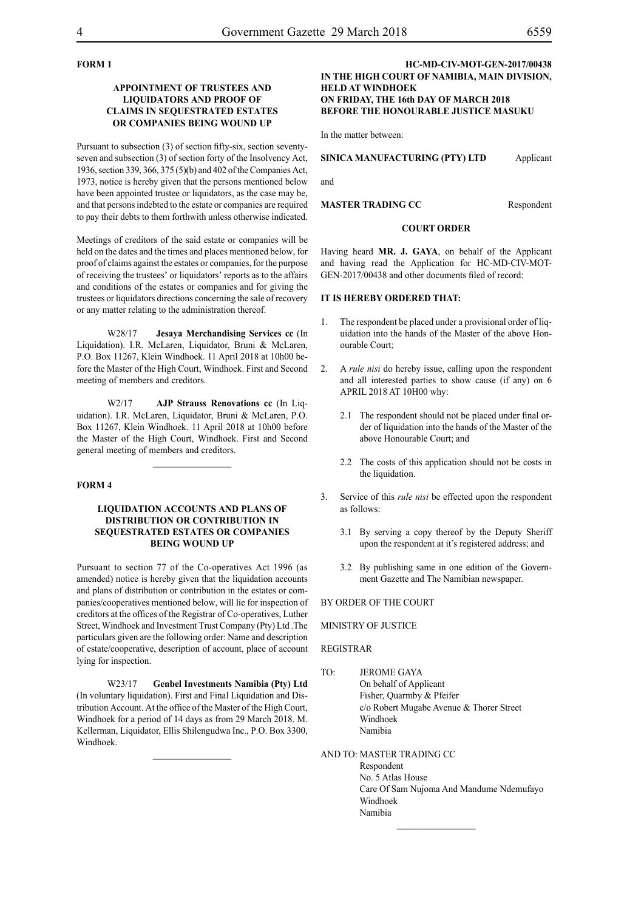# **FORM 1**

#### **APPOINTMENT OF TRUSTEES AND LIQUIDATORS AND PROOF OF CLAIMS IN SEQUESTRATED ESTATES OR COMPANIES BEING WOUND UP**

Pursuant to subsection (3) of section fifty-six, section seventyseven and subsection (3) of section forty of the Insolvency Act, 1936, section 339, 366, 375 (5)(b) and 402 of the Companies Act, 1973, notice is hereby given that the persons mentioned below have been appointed trustee or liquidators, as the case may be, and that persons indebted to the estate or companies are required to pay their debts to them forthwith unless otherwise indicated.

Meetings of creditors of the said estate or companies will be held on the dates and the times and places mentioned below, for proof of claims against the estates or companies, for the purpose of receiving the trustees' or liquidators' reports as to the affairs and conditions of the estates or companies and for giving the trustees or liquidators directions concerning the sale of recovery or any matter relating to the administration thereof.

W28/17 **Jesaya Merchandising Services cc** (In Liquidation). I.R. McLaren, Liquidator, Bruni & McLaren, P.O. Box 11267, Klein Windhoek. 11 April 2018 at 10h00 before the Master of the High Court, Windhoek. First and Second meeting of members and creditors.

W2/17 **AJP Strauss Renovations cc** (In Liquidation). I.R. McLaren, Liquidator, Bruni & McLaren, P.O. Box 11267, Klein Windhoek. 11 April 2018 at 10h00 before the Master of the High Court, Windhoek. First and Second general meeting of members and creditors.

#### **FORM 4**

#### **LIQUIDATION ACCOUNTS AND PLANS OF DISTRIBUTION OR CONTRIBUTION IN SEQUESTRATED ESTATES OR COMPANIES BEING WOUND UP**

Pursuant to section 77 of the Co-operatives Act 1996 (as amended) notice is hereby given that the liquidation accounts and plans of distribution or contribution in the estates or companies/cooperatives mentioned below, will lie for inspection of creditors at the offices of the Registrar of Co-operatives, Luther Street, Windhoek and Investment Trust Company (Pty) Ltd .The particulars given are the following order: Name and description of estate/cooperative, description of account, place of account lying for inspection.

W23/17 **Genbel Investments Namibia (Pty) Ltd** (In voluntary liquidation). First and Final Liquidation and Distribution Account. At the office of the Master of the High Court, Windhoek for a period of 14 days as from 29 March 2018. M. Kellerman, Liquidator, Ellis Shilengudwa Inc., P.O. Box 3300, Windhoek.

#### **HC-MD-CIV-MOT-GEN-2017/00438 IN THE HIGH COURT OF NAMIBIA, MAIN DIVISION, HELD AT WINDHOEK ON FRIDAY, THE 16th DAY OF MARCH 2018 BEFORE THE HONOURABLE JUSTICE MASUKU**

In the matter between:

#### **SINICA MANUFACTURING (PTY) LTD** Applicant

and

**MASTER TRADING CC** Respondent

#### **COURT ORDER**

Having heard **MR. J. GAYA**, on behalf of the Applicant and having read the Application for HC-MD-CIV-MOT-GEN-2017/00438 and other documents filed of record:

#### **IT IS HEREBY ORDERED THAT:**

- 1. The respondent be placed under a provisional order of liquidation into the hands of the Master of the above Honourable Court;
- 2. A *rule nisi* do hereby issue, calling upon the respondent and all interested parties to show cause (if any) on 6 APRIL 2018 AT 10H00 why:
	- 2.1 The respondent should not be placed under final order of liquidation into the hands of the Master of the above Honourable Court; and
	- 2.2 The costs of this application should not be costs in the liquidation.
- 3. Service of this *rule nisi* be effected upon the respondent as follows:
	- 3.1 By serving a copy thereof by the Deputy Sheriff upon the respondent at it's registered address; and
	- 3.2 By publishing same in one edition of the Government Gazette and The Namibian newspaper.

#### BY ORDER OF THE COURT

#### MINISTRY OF JUSTICE

#### REGISTRAR

TO: JEROME GAYA On behalf of Applicant Fisher, Quarmby & Pfeifer c/o Robert Mugabe Avenue & Thorer Street Windhoek Namibia

### AND TO: MASTER TRADING CC

Respondent No. 5 Atlas House Care Of Sam Nujoma And Mandume Ndemufayo Windhoek Namibia

 $\frac{1}{2}$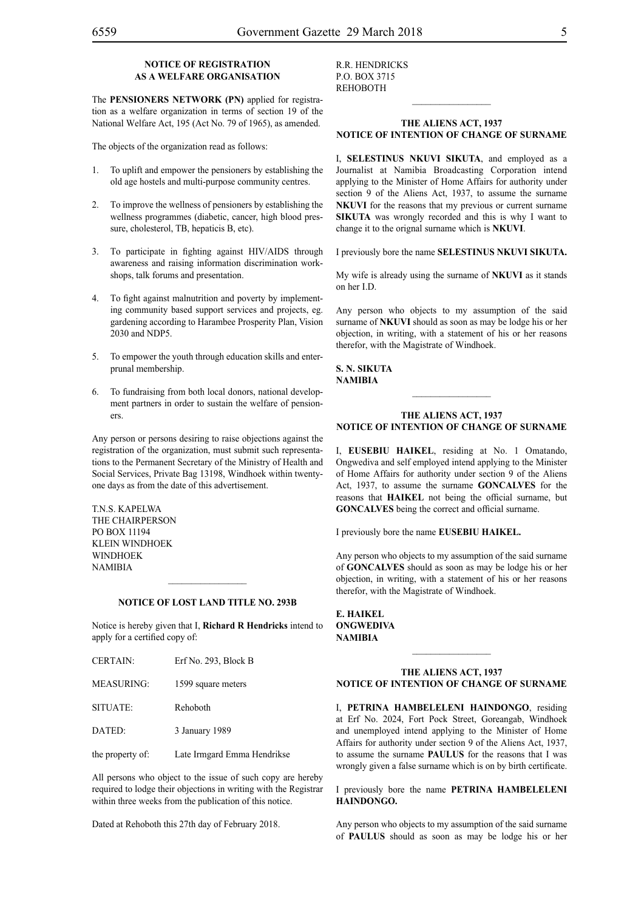### **NOTICE OF REGISTRATION AS A WELFARE ORGANISATION**

The **PENSIONERS NETWORK (PN)** applied for registration as a welfare organization in terms of section 19 of the National Welfare Act, 195 (Act No. 79 of 1965), as amended.

The objects of the organization read as follows:

- 1. To uplift and empower the pensioners by establishing the old age hostels and multi-purpose community centres.
- 2. To improve the wellness of pensioners by establishing the wellness programmes (diabetic, cancer, high blood pressure, cholesterol, TB, hepaticis B, etc).
- 3. To participate in fighting against HIV/AIDS through awareness and raising information discrimination workshops, talk forums and presentation.
- 4. To fight against malnutrition and poverty by implementing community based support services and projects, eg. gardening according to Harambee Prosperity Plan, Vision 2030 and NDP5.
- 5. To empower the youth through education skills and enterprunal membership.
- 6. To fundraising from both local donors, national development partners in order to sustain the welfare of pensioners.

Any person or persons desiring to raise objections against the registration of the organization, must submit such representations to the Permanent Secretary of the Ministry of Health and Social Services, Private Bag 13198, Windhoek within twentyone days as from the date of this advertisement.

TNS KAPELWA The Chairperson PO Box 11194 klein windhoek **WINDHOEK NAMIRIA** 

#### **NOTICE OF LOST LAND TITLE NO. 293B**

Notice is hereby given that I, **Richard R Hendricks** intend to apply for a certified copy of:

| <b>CERTAIN:</b>   | Erf No. 293, Block B |
|-------------------|----------------------|
| <b>MEASURING:</b> | 1599 square meters   |
| SITUATE:          | Rehoboth             |

DATED: 3 January 1989

the property of: Late Irmgard Emma Hendrikse

All persons who object to the issue of such copy are hereby required to lodge their objections in writing with the Registrar within three weeks from the publication of this notice.

Dated at Rehoboth this 27th day of February 2018.

R.R. HENDRICKS p.o. box 3715 REHOBOTH

#### **THE ALIENS ACT, 1937 NOTICE OF INTENTION OF CHANGE OF SURNAME**

 $\frac{1}{2}$ 

I, **selestinus nkuvi sikuta**, and employed as a Journalist at Namibia Broadcasting Corporation intend applying to the Minister of Home Affairs for authority under section 9 of the Aliens Act, 1937, to assume the surname **NKUVI** for the reasons that my previous or current surname **SIKUTA** was wrongly recorded and this is why I want to change it to the orignal surname which is **NKUVI**.

I previously bore the name **selestinus nkuvi sikuta.**

My wife is already using the surname of **NKUVI** as it stands on her I.D.

Any person who objects to my assumption of the said surname of **NKUVI** should as soon as may be lodge his or her objection, in writing, with a statement of his or her reasons therefor, with the Magistrate of Windhoek.

**s. n. sikuta NAMIBIA**

#### **THE ALIENS ACT, 1937 NOTICE OF INTENTION OF CHANGE OF SURNAME**

 $\frac{1}{2}$ 

I, **eusebiu haikel**, residing at No. 1 Omatando, Ongwediva and self employed intend applying to the Minister of Home Affairs for authority under section 9 of the Aliens Act, 1937, to assume the surname **goncalves** for the reasons that **HAIKEL** not being the official surname, but **GONCALVES** being the correct and official surname.

I previously bore the name **eusebiu haikel.**

Any person who objects to my assumption of the said surname of **GONCALVES** should as soon as may be lodge his or her objection, in writing, with a statement of his or her reasons therefor, with the Magistrate of Windhoek.

**e. haikel ongwediva NAMIBIA**

#### **THE ALIENS ACT, 1937 NOTICE OF INTENTION OF CHANGE OF SURNAME**

 $\mathcal{L}_\text{max}$ 

I, **petrina hambeleleni haindongo**, residing at Erf No. 2024, Fort Pock Street, Goreangab, Windhoek and unemployed intend applying to the Minister of Home Affairs for authority under section 9 of the Aliens Act, 1937, to assume the surname **paulus** for the reasons that I was wrongly given a false surname which is on by birth certificate.

I previously bore the name **petrina hambeleleni haindongo.**

Any person who objects to my assumption of the said surname of **paulus** should as soon as may be lodge his or her